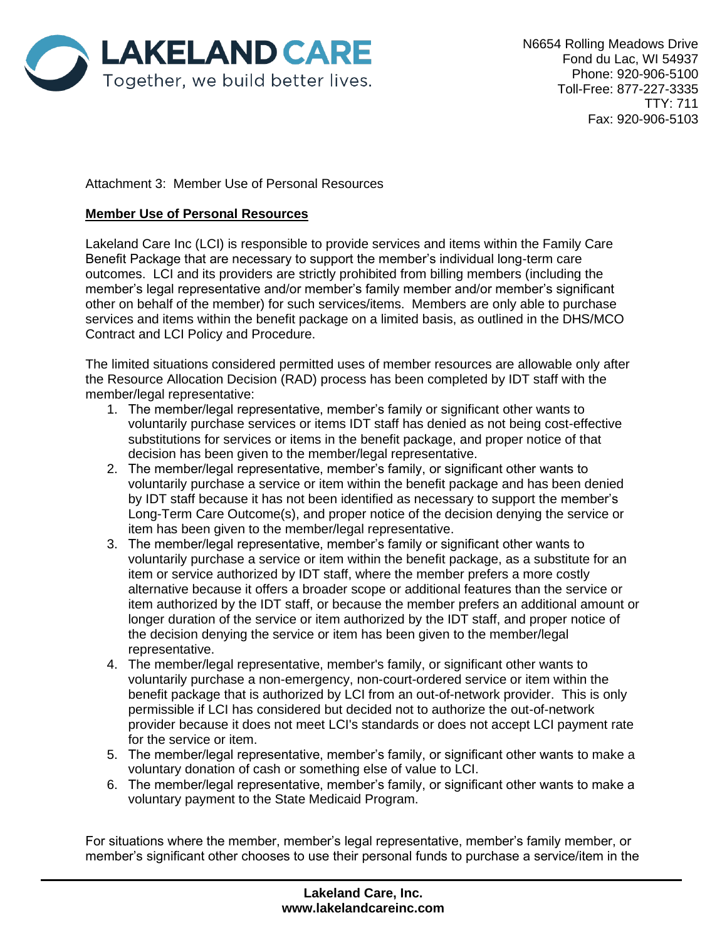

Attachment 3: Member Use of Personal Resources

## **Member Use of Personal Resources**

Lakeland Care Inc (LCI) is responsible to provide services and items within the Family Care Benefit Package that are necessary to support the member's individual long-term care outcomes. LCI and its providers are strictly prohibited from billing members (including the member's legal representative and/or member's family member and/or member's significant other on behalf of the member) for such services/items. Members are only able to purchase services and items within the benefit package on a limited basis, as outlined in the DHS/MCO Contract and LCI Policy and Procedure.

The limited situations considered permitted uses of member resources are allowable only after the Resource Allocation Decision (RAD) process has been completed by IDT staff with the member/legal representative:

- 1. The member/legal representative, member's family or significant other wants to voluntarily purchase services or items IDT staff has denied as not being cost-effective substitutions for services or items in the benefit package, and proper notice of that decision has been given to the member/legal representative.
- 2. The member/legal representative, member's family, or significant other wants to voluntarily purchase a service or item within the benefit package and has been denied by IDT staff because it has not been identified as necessary to support the member's Long-Term Care Outcome(s), and proper notice of the decision denying the service or item has been given to the member/legal representative.
- 3. The member/legal representative, member's family or significant other wants to voluntarily purchase a service or item within the benefit package, as a substitute for an item or service authorized by IDT staff, where the member prefers a more costly alternative because it offers a broader scope or additional features than the service or item authorized by the IDT staff, or because the member prefers an additional amount or longer duration of the service or item authorized by the IDT staff, and proper notice of the decision denying the service or item has been given to the member/legal representative.
- 4. The member/legal representative, member's family, or significant other wants to voluntarily purchase a non-emergency, non-court-ordered service or item within the benefit package that is authorized by LCI from an out-of-network provider. This is only permissible if LCI has considered but decided not to authorize the out-of-network provider because it does not meet LCI's standards or does not accept LCI payment rate for the service or item.
- 5. The member/legal representative, member's family, or significant other wants to make a voluntary donation of cash or something else of value to LCI.
- 6. The member/legal representative, member's family, or significant other wants to make a voluntary payment to the State Medicaid Program.

For situations where the member, member's legal representative, member's family member, or member's significant other chooses to use their personal funds to purchase a service/item in the